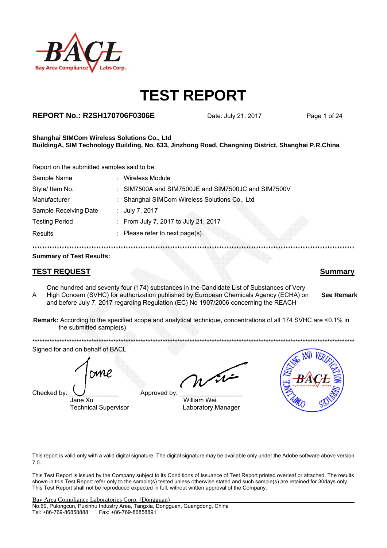

### **REPORT No.: R2SH170706F0306E** Date: July 21, 2017 Page 1 of 24

#### **Shanghai SIMCom Wireless Solutions Co., Ltd BuildingA, SIM Technology Building, No. 633, Jinzhong Road, Changning District, Shanghai P.R.China**

Report on the submitted samples said to be:

| Sample Name           | <b>Wireless Module</b>                              |  |
|-----------------------|-----------------------------------------------------|--|
| Style/ Item No.       | : SIM7500A and SIM7500JE and SIM7500JC and SIM7500V |  |
| Manufacturer          | : Shanghai SIMCom Wireless Solutions Co., Ltd       |  |
| Sample Receiving Date | : July 7, 2017                                      |  |
| <b>Testing Period</b> | : From July 7, 2017 to July 21, 2017                |  |
| <b>Results</b>        | : Please refer to next page(s).                     |  |
|                       |                                                     |  |

\*\*\*\*\*\*\*\*\*\*\*\*\*\*\*\*\*\*\*\*\*\*\*\*\*\*\*\*\*\*\*\*\*\*\*\*\*\*\*\*\*\*\*\*\*\*\*\*\*\*\*\*\*\*\*\*\*\*\*\*\*\*\*\*\*\*\*\*\*\*\*\*\*\*\*\*\*\*\*\*\*\*\*\*\*\*\*\*\*\*\*\*\*\*\*\*\*\*\*\*\*\*\*\*\*\*\*\*\*\*\*\*\*\*\*\*\*\*\*\*\*\*\*\*\*\*\*\*\*\*\*

#### **Summary of Test Results:**

### **TEST REQUEST Summary**

A One hundred and seventy four (174) substances in the Candidate List of Substances of Very High Concern (SVHC) for authorization published by European Chemicals Agency (ECHA) on and before July 7, 2017 regarding Regulation (EC) No 1907/2006 concerning the REACH

**Remark:** According to the specified scope and analytical technique, concentrations of all 174 SVHC are <0.1% in the submitted sample(s)

\*\*\*\*\*\*\*\*\*\*\*\*\*\*\*\*\*\*\*\*\*\*\*\*\*\*\*\*\*\*\*\*\*\*\*\*\*\*\*\*\*\*\*\*\*\*\*\*\*\*\*\*\*\*\*\*\*\*\*\*\*\*\*\*\*\*\*\*\*\*\*\*\*\*\*\*\*\*\*\*\*\*\*\*\*\*\*\*\*\*\*\*\*\*\*\*\*\*\*\*\*\*\*\*\*\*\*\*\*\*\*\*\*\*\*\*\*\*\*\*\*\*\*\*\*\*\*\*\*\*\* Signed for and on behalf of BACL

Checked by:  $\bigcup$  Approved by



Jane Xu William Wei Technical Supervisor **Laboratory Manager** 



**See Remark**

This report is valid only with a valid digital signature. The digital signature may be available only under the Adobe software above version 7.0.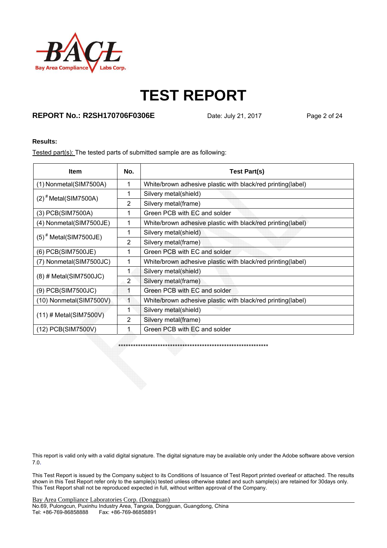

### **REPORT No.: R2SH170706F0306E** Date: July 21, 2017 Page 2 of 24

#### **Results:**

Tested part(s): The tested parts of submitted sample are as following:

| <b>Item</b>                        | No. | Test Part(s)                                                |
|------------------------------------|-----|-------------------------------------------------------------|
| (1) Nonmetal(SIM7500A)             | 1   | White/brown adhesive plastic with black/red printing(label) |
| $(2)$ <sup>#</sup> Metal(SIM7500A) | 1   | Silvery metal(shield)                                       |
|                                    | 2   | Silvery metal(frame)                                        |
| (3) PCB(SIM7500A)                  | 1   | Green PCB with EC and solder                                |
| (4) Nonmetal(SIM7500JE)            | 1   | White/brown adhesive plastic with black/red printing(label) |
| $(5)^*$ Metal(SIM7500JE)           |     | Silvery metal(shield)                                       |
|                                    | 2   | Silvery metal(frame)                                        |
| (6) PCB(SIM7500JE)                 | 1   | Green PCB with EC and solder                                |
| (7) Nonmetal(SIM7500JC)            | 1   | White/brown adhesive plastic with black/red printing(label) |
|                                    | 1   | Silvery metal(shield)                                       |
| $(8)$ # Metal(SIM7500JC)           | 2   | Silvery metal(frame)                                        |
| (9) PCB(SIM7500JC)                 | 1   | Green PCB with EC and solder                                |
| (10) Nonmetal(SIM7500V)            | 1   | White/brown adhesive plastic with black/red printing(label) |
|                                    |     | Silvery metal(shield)                                       |
| $(11)$ # Metal(SIM7500V)           | 2   | Silvery metal(frame)                                        |
| (12) PCB(SIM7500V)                 |     | Green PCB with EC and solder                                |

\*\*\*\*\*\*\*\*\*\*\*\*\*\*\*\*\*\*\*\*\*\*\*\*\*\*\*\*\*\*\*\*\*\*\*\*\*\*\*\*\*\*\*\*\*\*\*\*\*\*\*\*\*\*\*\*\*\*\*\*\*

This report is valid only with a valid digital signature. The digital signature may be available only under the Adobe software above version 7.0.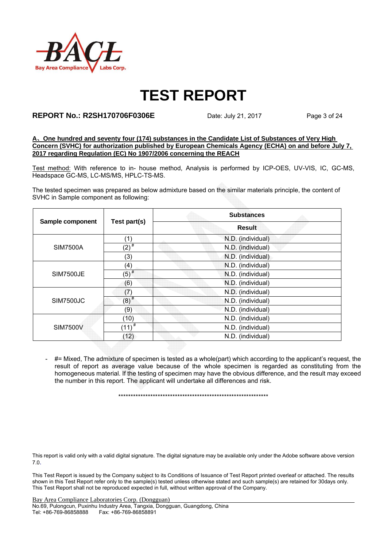

#### **REPORT No.: R2SH170706F0306E** Date: July 21, 2017 Page 3 of 24

**A**、**One hundred and seventy four (174) substances in the Candidate List of Substances of Very High Concern (SVHC) for authorization published by European Chemicals Agency (ECHA) on and before July 7, 2017 regarding Regulation (EC) No 1907/2006 concerning the REACH**

Test method: With reference to in- house method, Analysis is performed by ICP-OES, UV-VIS, IC, GC-MS, Headspace GC-MS, LC-MS/MS, HPLC-TS-MS.

The tested specimen was prepared as below admixture based on the similar materials principle, the content of SVHC in Sample component as following:

|                  |                    | <b>Substances</b> |  |  |  |  |
|------------------|--------------------|-------------------|--|--|--|--|
| Sample component | Test part(s)       | <b>Result</b>     |  |  |  |  |
|                  | (1)                | N.D. (individual) |  |  |  |  |
| <b>SIM7500A</b>  | $(2)$ <sup>#</sup> | N.D. (individual) |  |  |  |  |
|                  | (3)                | N.D. (individual) |  |  |  |  |
|                  | (4)                | N.D. (individual) |  |  |  |  |
| <b>SIM7500JE</b> | $(5)^{#}$          | N.D. (individual) |  |  |  |  |
|                  | (6)                | N.D. (individual) |  |  |  |  |
|                  | (7)                | N.D. (individual) |  |  |  |  |
| SIM7500JC        | $(8)$ <sup>#</sup> | N.D. (individual) |  |  |  |  |
|                  | (9)                | N.D. (individual) |  |  |  |  |
|                  | (10)               | N.D. (individual) |  |  |  |  |
| <b>SIM7500V</b>  | $(11)^{#}$         | N.D. (individual) |  |  |  |  |
|                  | (12)               | N.D. (individual) |  |  |  |  |

- #= Mixed, The admixture of specimen is tested as a whole(part) which according to the applicant's request, the result of report as average value because of the whole specimen is regarded as constituting from the homogeneous material. If the testing of specimen may have the obvious difference, and the result may exceed the number in this report. The applicant will undertake all differences and risk.

\*\*\*\*\*\*\*\*\*\*\*\*\*\*\*\*\*\*\*\*\*\*\*\*\*\*\*\*\*\*\*\*\*\*\*\*\*\*\*\*\*\*\*\*\*\*\*\*\*\*\*\*\*\*\*\*\*\*\*\*\*

This report is valid only with a valid digital signature. The digital signature may be available only under the Adobe software above version 7.0.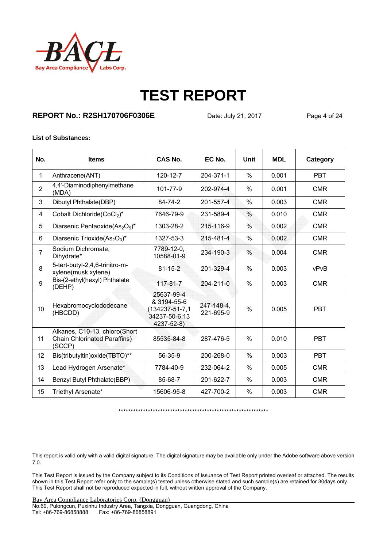

### **REPORT No.: R2SH170706F0306E** Date: July 21, 2017 Page 4 of 24

#### **List of Substances:**

| No.            | <b>Items</b>                                                                   | CAS No.                                                                           | EC No.                  | Unit          | <b>MDL</b> | Category   |
|----------------|--------------------------------------------------------------------------------|-----------------------------------------------------------------------------------|-------------------------|---------------|------------|------------|
| 1              | Anthracene(ANT)                                                                | 120-12-7                                                                          | 204-371-1               | $\%$          | 0.001      | <b>PBT</b> |
| $\overline{2}$ | 4,4'-Diaminodiphenylmethane<br>(MDA)                                           | 101-77-9                                                                          | 202-974-4               | $\frac{0}{0}$ | 0.001      | <b>CMR</b> |
| 3              | Dibutyl Phthalate(DBP)                                                         | 84-74-2                                                                           | 201-557-4               | $\frac{0}{0}$ | 0.003      | <b>CMR</b> |
| 4              | Cobalt Dichloride(CoCl2)*                                                      | 7646-79-9                                                                         | 231-589-4               | $\%$          | 0.010      | <b>CMR</b> |
| 5              | Diarsenic Pentaoxide $(As_2O_5)^*$                                             | 1303-28-2                                                                         | 215-116-9               | $\frac{0}{0}$ | 0.002      | <b>CMR</b> |
| 6              | Diarsenic Trioxide(As <sub>2</sub> O <sub>3</sub> )*                           | 1327-53-3                                                                         | 215-481-4               | $\frac{0}{0}$ | 0.002      | <b>CMR</b> |
| $\overline{7}$ | Sodium Dichromate,<br>Dihydrate*                                               | 7789-12-0,<br>10588-01-9                                                          | 234-190-3               | $\%$          | 0.004      | <b>CMR</b> |
| 8              | 5-tert-butyl-2,4,6-trinitro-m-<br>xylene(musk xylene)                          | $81 - 15 - 2$                                                                     | 201-329-4               | %             | 0.003      | vPvB       |
| 9              | Bis-(2-ethyl(hexyl) Phthalate<br>(DEHP)                                        | 117-81-7                                                                          | $204 - 211 - 0$         | $\%$          | 0.003      | <b>CMR</b> |
| 10             | Hexabromocyclododecane<br>(HBCDD)                                              | 25637-99-4<br>& 3194-55-6<br>$(134237 - 51 - 7, 1$<br>34237-50-6,13<br>4237-52-8) | 247-148-4,<br>221-695-9 | $\%$          | 0.005      | <b>PBT</b> |
| 11             | Alkanes, C10-13, chloro(Short<br><b>Chain Chlorinated Paraffins)</b><br>(SCCP) | 85535-84-8                                                                        | 287-476-5               | $\frac{0}{0}$ | 0.010      | <b>PBT</b> |
| 12             | Bis(tributyltin) oxide(TBTO)**                                                 | 56-35-9                                                                           | 200-268-0               | $\%$          | 0.003      | <b>PBT</b> |
| 13             | Lead Hydrogen Arsenate*                                                        | 7784-40-9                                                                         | 232-064-2               | %             | 0.005      | <b>CMR</b> |
| 14             | Benzyl Butyl Phthalate(BBP)                                                    | 85-68-7                                                                           | 201-622-7               | %             | 0.003      | <b>CMR</b> |
| 15             | Triethyl Arsenate*                                                             | 15606-95-8                                                                        | 427-700-2               | $\%$          | 0.003      | <b>CMR</b> |

\*\*\*\*\*\*\*\*\*\*\*\*\*\*\*\*\*\*\*\*\*\*\*\*\*\*\*\*\*\*\*\*\*\*\*\*\*\*\*\*\*\*\*\*\*\*\*\*\*\*\*\*\*\*\*\*\*\*\*\*\*

This report is valid only with a valid digital signature. The digital signature may be available only under the Adobe software above version 7.0.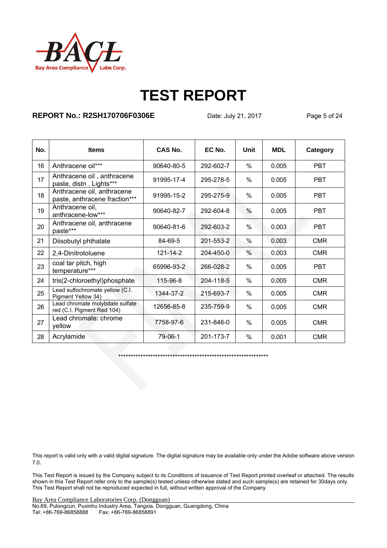

### **REPORT No.: R2SH170706F0306E** Date: July 21, 2017 Page 5 of 24

| No. | <b>Items</b>                                                  | CAS No.        | EC No.    | Unit | <b>MDL</b> | Category   |
|-----|---------------------------------------------------------------|----------------|-----------|------|------------|------------|
| 16  | Anthracene oil***                                             | 90640-80-5     | 292-602-7 | $\%$ | 0.005      | <b>PBT</b> |
| 17  | Anthracene oil, anthracene<br>paste, distn. Lights***         | 91995-17-4     | 295-278-5 | %    | 0.005      | <b>PBT</b> |
| 18  | Anthracene oil, anthracene<br>paste, anthracene fraction***   | 91995-15-2     | 295-275-9 | %    | 0.005      | <b>PBT</b> |
| 19  | Anthracene oil,<br>anthracene-low***                          | 90640-82-7     | 292-604-8 | %    | 0.005      | <b>PBT</b> |
| 20  | Anthracene oil, anthracene<br>paste***                        | 90640-81-6     | 292-603-2 | %    | 0.003      | <b>PBT</b> |
| 21  | Diisobutyl phthalate                                          | 84-69-5        | 201-553-2 | %    | 0.003      | <b>CMR</b> |
| 22  | 2,4-Dinitrotoluene                                            | $121 - 14 - 2$ | 204-450-0 | %    | 0.003      | <b>CMR</b> |
| 23  | coal tar pitch, high<br>temperature***                        | 65996-93-2     | 266-028-2 | %    | 0.005      | <b>PBT</b> |
| 24  | tris(2-chloroethyl)phosphate                                  | 115-96-8       | 204-118-5 | $\%$ | 0.005      | <b>CMR</b> |
| 25  | Lead sulfochromate yellow (C.I.<br>Pigment Yellow 34)         | 1344-37-2      | 215-693-7 | $\%$ | 0.005      | <b>CMR</b> |
| 26  | Lead chromate molybdate sulfate<br>red (C.I. Pigment Red 104) | 12656-85-8     | 235-759-9 | %    | 0.005      | <b>CMR</b> |
| 27  | Lead chromate: chrome<br>yellow                               | 7758-97-6      | 231-846-0 | $\%$ | 0.005      | <b>CMR</b> |
| 28  | Acrylamide                                                    | 79-06-1        | 201-173-7 | $\%$ | 0.001      | <b>CMR</b> |

\*\*\*\*\*\*\*\*\*\*\*\*\*\*\*\*\*\*\*\*\*\*\*\*\*\*\*\*\*\*\*\*\*\*\*\*\*\*\*\*\*\*\*\*\*\*\*\*\*\*\*\*\*\*\*\*\*\*\*\*\*

This report is valid only with a valid digital signature. The digital signature may be available only under the Adobe software above version 7.0.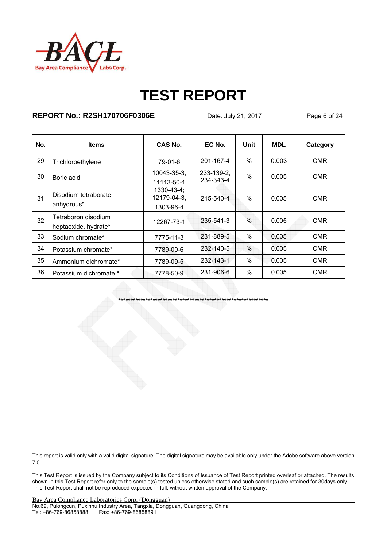

### **REPORT No.: R2SH170706F0306E** Date: July 21, 2017 Page 6 of 24

| No. | <b>Items</b>                                | CAS No.                                       | EC No.                         | Unit          | <b>MDL</b> | Category   |
|-----|---------------------------------------------|-----------------------------------------------|--------------------------------|---------------|------------|------------|
| 29  | Trichloroethylene                           | 79-01-6                                       | 201-167-4                      | $\%$          | 0.003      | <b>CMR</b> |
| 30  | Boric acid                                  | $10043 - 35 - 3$ ;<br>11113-50-1              | $233 - 139 - 2$ ;<br>234-343-4 | $\frac{0}{0}$ | 0.005      | <b>CMR</b> |
| 31  | Disodium tetraborate.<br>anhydrous*         | $1330 - 43 - 4$ ;<br>12179-04-3;<br>1303-96-4 | 215-540-4                      | $\%$          | 0.005      | <b>CMR</b> |
| 32  | Tetraboron disodium<br>heptaoxide, hydrate* | 12267-73-1                                    | 235-541-3                      | $\%$          | 0.005      | <b>CMR</b> |
| 33  | Sodium chromate*                            | 7775-11-3                                     | 231-889-5                      | $\%$          | 0.005      | <b>CMR</b> |
| 34  | Potassium chromate*                         | 7789-00-6                                     | 232-140-5                      | $\frac{0}{0}$ | 0.005      | <b>CMR</b> |
| 35  | Ammonium dichromate*                        | 7789-09-5                                     | 232-143-1                      | $\%$          | 0.005      | <b>CMR</b> |
| 36  | Potassium dichromate *                      | 7778-50-9                                     | 231-906-6                      | $\%$          | 0.005      | <b>CMR</b> |

\*\*\*\*\*\*\*\*\*\*\*\*\*\*\*\*\*\*\*\*\*\*\*\*\*\*\*\*\*\*\*\*\*\*\*\*\*\*\*\*\*\*\*\*\*\*\*\*\*\*\*\*\*\*\*\*\*\*\*\*\*

This report is valid only with a valid digital signature. The digital signature may be available only under the Adobe software above version 7.0.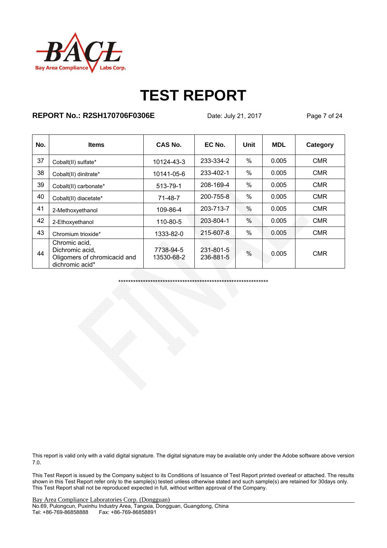

### **REPORT No.: R2SH170706F0306E** Date: July 21, 2017 Page 7 of 24

| No. | <b>Items</b>                                                                        | CAS No.                 | EC No.                 | Unit          | <b>MDL</b> | Category   |
|-----|-------------------------------------------------------------------------------------|-------------------------|------------------------|---------------|------------|------------|
| 37  | Cobalt(II) sulfate*                                                                 | 10124-43-3              | 233-334-2              | $\frac{0}{0}$ | 0.005      | <b>CMR</b> |
| 38  | Cobalt(II) dinitrate*                                                               | 10141-05-6              | 233-402-1              | $\%$          | 0.005      | <b>CMR</b> |
| 39  | Cobalt(II) carbonate*                                                               | 513-79-1                | 208-169-4              | $\%$          | 0.005      | <b>CMR</b> |
| 40  | Cobalt(II) diacetate*                                                               | $71 - 48 - 7$           | 200-755-8              | $\%$          | 0.005      | <b>CMR</b> |
| 41  | 2-Methoxyethanol                                                                    | 109-86-4                | 203-713-7              | $\%$          | 0.005      | <b>CMR</b> |
| 42  | 2-Ethoxyethanol                                                                     | 110-80-5                | 203-804-1              | $\%$          | 0.005      | <b>CMR</b> |
| 43  | Chromium trioxide*                                                                  | 1333-82-0               | 215-607-8              | $\%$          | 0.005      | <b>CMR</b> |
| 44  | Chromic acid,<br>Dichromic acid,<br>Oligomers of chromicacid and<br>dichromic acid* | 7738-94-5<br>13530-68-2 | 231-801-5<br>236-881-5 | $\frac{0}{0}$ | 0.005      | <b>CMR</b> |

\*\*\*\*\*\*\*\*\*\*\*\*\*\*\*\*\*\*\*\*\*\*\*\*\*\*\*\*\*\*\*\*\*\*\*\*\*\*\*\*\*\*\*\*\*\*\*\*\*\*\*\*\*\*\*\*\*\*\*\*\*

This report is valid only with a valid digital signature. The digital signature may be available only under the Adobe software above version 7.0.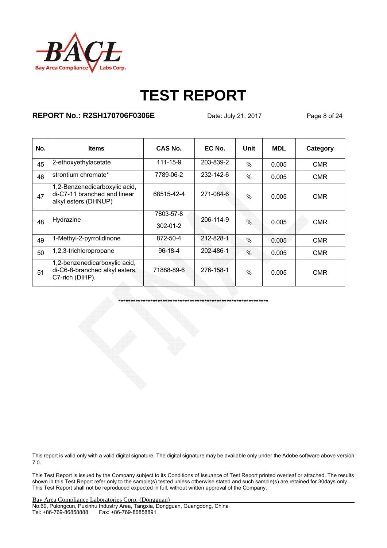

### **REPORT No.: R2SH170706F0306E** Date: July 21, 2017 Page 8 of 24

\*\*\*\*\*\*\*\*\*\*\*\*\*\*\*\*\*\*\*\*\*\*\*\*\*\*\*\*\*\*\*\*\*\*\*\*\*\*\*\*\*\*\*\*\*\*\*\*\*\*\*\*\*\*\*\*\*\*\*\*\*

| No. | <b>Items</b>                                                                          | CAS No.                     | EC No.          | Unit          | <b>MDL</b> | Category   |
|-----|---------------------------------------------------------------------------------------|-----------------------------|-----------------|---------------|------------|------------|
| 45  | 2-ethoxyethylacetate                                                                  | $111 - 15 - 9$              | 203-839-2       | $\%$          | 0.005      | <b>CMR</b> |
| 46  | strontium chromate*                                                                   | 7789-06-2                   | $232 - 142 - 6$ | $\%$          | 0.005      | CMR        |
| 47  | 1,2-Benzenedicarboxylic acid,<br>di-C7-11 branched and linear<br>alkyl esters (DHNUP) | 68515-42-4                  | 271-084-6       | $\%$          | 0.005      | <b>CMR</b> |
| 48  | Hydrazine                                                                             | 7803-57-8<br>$302 - 01 - 2$ | 206-114-9       | $\frac{0}{0}$ | 0.005      | <b>CMR</b> |
| 49  | 1-Methyl-2-pyrrolidinone                                                              | 872-50-4                    | 212-828-1       | %             | 0.005      | <b>CMR</b> |
| 50  | 1,2,3-trichloropropane                                                                | $96 - 18 - 4$               | 202-486-1       | $\%$          | 0.005      | <b>CMR</b> |
| 51  | 1,2-benzenedicarboxylic acid,<br>di-C6-8-branched alkyl esters,<br>C7-rich (DIHP).    | 71888-89-6                  | 276-158-1       | $\frac{0}{0}$ | 0.005      | <b>CMR</b> |

This report is valid only with a valid digital signature. The digital signature may be available only under the Adobe software above version 7.0.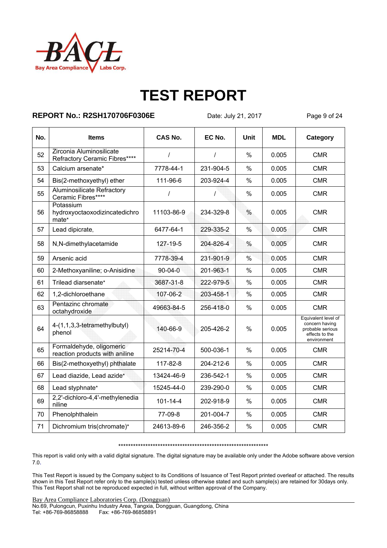

### **REPORT No.: R2SH170706F0306E** Date: July 21, 2017 Page 9 of 24

| No. | <b>Items</b>                                               | <b>CAS No.</b> | EC No.    | Unit          | <b>MDL</b> | Category                                                                                   |
|-----|------------------------------------------------------------|----------------|-----------|---------------|------------|--------------------------------------------------------------------------------------------|
| 52  | Zirconia Aluminosilicate<br>Refractory Ceramic Fibres****  | $\prime$       | $\prime$  | $\frac{0}{0}$ | 0.005      | <b>CMR</b>                                                                                 |
| 53  | Calcium arsenate*                                          | 7778-44-1      | 231-904-5 | $\frac{0}{0}$ | 0.005      | <b>CMR</b>                                                                                 |
| 54  | Bis(2-methoxyethyl) ether                                  | 111-96-6       | 203-924-4 | %             | 0.005      | <b>CMR</b>                                                                                 |
| 55  | <b>Aluminosilicate Refractory</b><br>Ceramic Fibres****    | $\prime$       | Ι         | %             | 0.005      | <b>CMR</b>                                                                                 |
| 56  | Potassium<br>hydroxyoctaoxodizincatedichro<br>mate*        | 11103-86-9     | 234-329-8 | $\frac{0}{0}$ | 0.005      | <b>CMR</b>                                                                                 |
| 57  | Lead dipicrate,                                            | 6477-64-1      | 229-335-2 | $\frac{0}{0}$ | 0.005      | <b>CMR</b>                                                                                 |
| 58  | N,N-dimethylacetamide                                      | 127-19-5       | 204-826-4 | $\%$          | 0.005      | <b>CMR</b>                                                                                 |
| 59  | Arsenic acid                                               | 7778-39-4      | 231-901-9 | $\frac{0}{0}$ | 0.005      | <b>CMR</b>                                                                                 |
| 60  | 2-Methoxyaniline; o-Anisidine                              | $90 - 04 - 0$  | 201-963-1 | $\%$          | 0.005      | <b>CMR</b>                                                                                 |
| 61  | Trilead diarsenate*                                        | 3687-31-8      | 222-979-5 | $\%$          | 0.005      | <b>CMR</b>                                                                                 |
| 62  | 1,2-dichloroethane                                         | 107-06-2       | 203-458-1 | $\%$          | 0.005      | <b>CMR</b>                                                                                 |
| 63  | Pentazinc chromate<br>octahydroxide                        | 49663-84-5     | 256-418-0 | $\%$          | 0.005      | <b>CMR</b>                                                                                 |
| 64  | 4-(1,1,3,3-tetramethylbutyl)<br>phenol                     | 140-66-9       | 205-426-2 | $\%$          | 0.005      | Equivalent level of<br>concern having<br>probable serious<br>effects to the<br>environment |
| 65  | Formaldehyde, oligomeric<br>reaction products with aniline | 25214-70-4     | 500-036-1 | $\%$          | 0.005      | <b>CMR</b>                                                                                 |
| 66  | Bis(2-methoxyethyl) phthalate                              | 117-82-8       | 204-212-6 | %             | 0.005      | <b>CMR</b>                                                                                 |
| 67  | Lead diazide, Lead azide*                                  | 13424-46-9     | 236-542-1 | %             | 0.005      | <b>CMR</b>                                                                                 |
| 68  | Lead styphnate*                                            | 15245-44-0     | 239-290-0 | $\%$          | 0.005      | <b>CMR</b>                                                                                 |
| 69  | 2,2'-dichloro-4,4'-methylenedia<br>niline                  | $101 - 14 - 4$ | 202-918-9 | $\%$          | 0.005      | <b>CMR</b>                                                                                 |
| 70  | Phenolphthalein                                            | 77-09-8        | 201-004-7 | $\%$          | 0.005      | <b>CMR</b>                                                                                 |
| 71  | Dichromium tris(chromate)*                                 | 24613-89-6     | 246-356-2 | %             | 0.005      | <b>CMR</b>                                                                                 |

\*\*\*\*\*\*\*\*\*\*\*\*\*\*\*\*\*\*\*\*\*\*\*\*\*\*\*\*\*\*\*\*\*\*\*\*\*\*\*\*\*\*\*\*\*\*\*\*\*\*\*\*\*\*\*\*\*\*\*\*\*

This report is valid only with a valid digital signature. The digital signature may be available only under the Adobe software above version 7.0.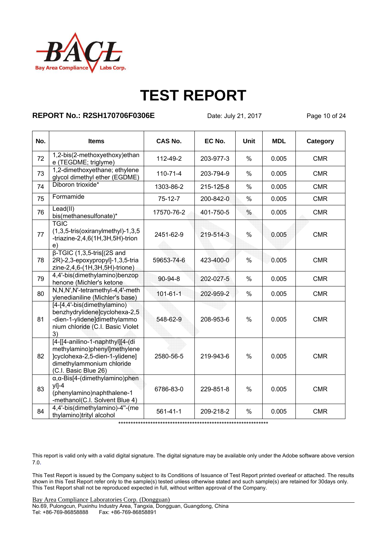

### **REPORT No.: R2SH170706F0306E** Date: July 21, 2017 Page 10 of 24

| No. | <b>Items</b>                                                                                                                                            | <b>CAS No.</b> | EC No.    | <b>Unit</b>   | <b>MDL</b> | Category   |
|-----|---------------------------------------------------------------------------------------------------------------------------------------------------------|----------------|-----------|---------------|------------|------------|
| 72  | 1,2-bis(2-methoxyethoxy)ethan<br>e (TEGDME; triglyme)                                                                                                   | 112-49-2       | 203-977-3 | $\frac{0}{0}$ | 0.005      | <b>CMR</b> |
| 73  | 1,2-dimethoxyethane; ethylene<br>glycol dimethyl ether (EGDME)                                                                                          | $110 - 71 - 4$ | 203-794-9 | $\frac{0}{0}$ | 0.005      | <b>CMR</b> |
| 74  | Diboron trioxide*                                                                                                                                       | 1303-86-2      | 215-125-8 | $\frac{0}{0}$ | 0.005      | <b>CMR</b> |
| 75  | Formamide                                                                                                                                               | $75-12-7$      | 200-842-0 | $\frac{0}{0}$ | 0.005      | <b>CMR</b> |
| 76  | Lead(II)<br>bis(methanesulfonate)*                                                                                                                      | 17570-76-2     | 401-750-5 | $\%$          | 0.005      | <b>CMR</b> |
| 77  | <b>TGIC</b><br>$(1,3,5-tris(oxiranylmethyl)-1,3,5)$<br>-triazine-2,4,6(1H,3H,5H)-trion<br>e)                                                            | 2451-62-9      | 219-514-3 | $\frac{0}{0}$ | 0.005      | <b>CMR</b> |
| 78  | $\beta$ -TGIC (1,3,5-tris[(2S and<br>2R)-2,3-epoxypropyl]-1,3,5-tria<br>zine-2,4,6-(1H,3H,5H)-trione)                                                   | 59653-74-6     | 423-400-0 | $\frac{0}{0}$ | 0.005      | <b>CMR</b> |
| 79  | 4,4'-bis(dimethylamino)benzop<br>henone (Michler's ketone                                                                                               | $90 - 94 - 8$  | 202-027-5 | $\frac{0}{0}$ | 0.005      | <b>CMR</b> |
| 80  | N,N,N',N'-tetramethyl-4,4'-meth<br>ylenedianiline (Michler's base)                                                                                      | $101 - 61 - 1$ | 202-959-2 | $\frac{0}{0}$ | 0.005      | <b>CMR</b> |
| 81  | [4-[4,4'-bis(dimethylamino)<br>benzhydrylidene]cyclohexa-2,5<br>-dien-1-ylidene]dimethylammo<br>nium chloride (C.I. Basic Violet<br>3)                  | 548-62-9       | 208-953-6 | $\frac{0}{0}$ | 0.005      | <b>CMR</b> |
| 82  | [4-[[4-anilino-1-naphthyl][4-(di<br>methylamino)phenyl]methylene<br>]cyclohexa-2,5-dien-1-ylidene]<br>dimethylammonium chloride<br>(C.I. Basic Blue 26) | 2580-56-5      | 219-943-6 | $\frac{0}{0}$ | 0.005      | <b>CMR</b> |
| 83  | $\alpha$ , $\alpha$ -Bis[4-(dimethylamino)phen<br>$y$  ]-4<br>(phenylamino)naphthalene-1<br>-methanol(C.I. Solvent Blue 4)                              | 6786-83-0      | 229-851-8 | $\frac{0}{0}$ | 0.005      | <b>CMR</b> |
| 84  | 4,4'-bis(dimethylamino)-4"-(me<br>thylamino)trityl alcohol                                                                                              | $561 - 41 - 1$ | 209-218-2 | $\%$          | 0.005      | <b>CMR</b> |

\*\*\*\*\*\*\*\*\*\*\*\*\*\*\*\*\*\*\*\*\*\*\*\*\*\*\*\*\*\*\*\*\*\*\*\*\*\*\*\*\*\*\*\*\*\*\*\*\*\*\*\*\*\*\*\*\*\*\*\*\*

This report is valid only with a valid digital signature. The digital signature may be available only under the Adobe software above version 7.0.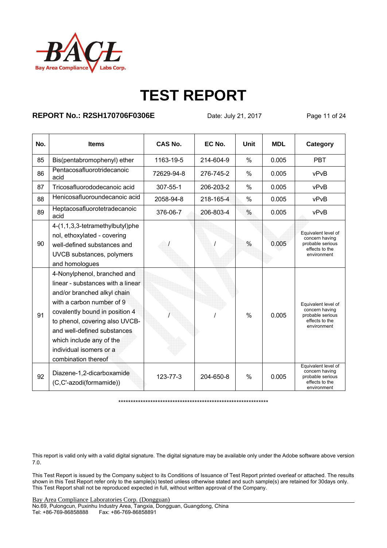

### **REPORT No.: R2SH170706F0306E** Date: July 21, 2017 Page 11 of 24

| No. | <b>Items</b>                                                                                                                                                                                                                                                                                                  | CAS No.    | EC No.    | Unit          | <b>MDL</b> | Category                                                                                   |
|-----|---------------------------------------------------------------------------------------------------------------------------------------------------------------------------------------------------------------------------------------------------------------------------------------------------------------|------------|-----------|---------------|------------|--------------------------------------------------------------------------------------------|
| 85  | Bis(pentabromophenyl) ether                                                                                                                                                                                                                                                                                   | 1163-19-5  | 214-604-9 | $\frac{0}{0}$ | 0.005      | <b>PBT</b>                                                                                 |
| 86  | Pentacosafluorotridecanoic<br>acid                                                                                                                                                                                                                                                                            | 72629-94-8 | 276-745-2 | $\%$          | 0.005      | vPvB                                                                                       |
| 87  | Tricosafluorododecanoic acid                                                                                                                                                                                                                                                                                  | 307-55-1   | 206-203-2 | $\frac{0}{0}$ | 0.005      | vPvB                                                                                       |
| 88  | Henicosafluoroundecanoic acid                                                                                                                                                                                                                                                                                 | 2058-94-8  | 218-165-4 | $\%$          | 0.005      | vPvB                                                                                       |
| 89  | Heptacosafluorotetradecanoic<br>acid                                                                                                                                                                                                                                                                          | 376-06-7   | 206-803-4 | $\%$          | 0.005      | vPvB                                                                                       |
| 90  | 4-(1,1,3,3-tetramethylbutyl)phe<br>nol, ethoxylated - covering<br>well-defined substances and<br>UVCB substances, polymers<br>and homologues                                                                                                                                                                  |            |           | $\%$          | 0.005      | Equivalent level of<br>concern having<br>probable serious<br>effects to the<br>environment |
| 91  | 4-Nonylphenol, branched and<br>linear - substances with a linear<br>and/or branched alkyl chain<br>with a carbon number of 9<br>covalently bound in position 4<br>to phenol, covering also UVCB-<br>and well-defined substances<br>which include any of the<br>individual isomers or a<br>combination thereof |            |           | $\frac{0}{0}$ | 0.005      | Equivalent level of<br>concern having<br>probable serious<br>effects to the<br>environment |
| 92  | Diazene-1,2-dicarboxamide<br>(C,C'-azodi(formamide))                                                                                                                                                                                                                                                          | 123-77-3   | 204-650-8 | $\%$          | 0.005      | Equivalent level of<br>concern having<br>probable serious<br>effects to the<br>environment |

\*\*\*\*\*\*\*\*\*\*\*\*\*\*\*\*\*\*\*\*\*\*\*\*\*\*\*\*\*\*\*\*\*\*\*\*\*\*\*\*\*\*\*\*\*\*\*\*\*\*\*\*\*\*\*\*\*\*\*\*\*

This report is valid only with a valid digital signature. The digital signature may be available only under the Adobe software above version 7.0.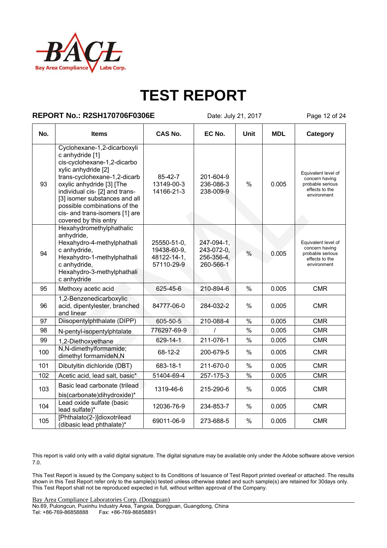

#### **REPORT No.: R2SH170706F0306E** Date: July 21, 2017 Page 12 of 24

| No. | <b>Items</b>                                                                                                                                                                                                                                                                                                                    | <b>CAS No.</b>                                          | EC No.                                              | Unit          | <b>MDL</b> | Category                                                                                   |
|-----|---------------------------------------------------------------------------------------------------------------------------------------------------------------------------------------------------------------------------------------------------------------------------------------------------------------------------------|---------------------------------------------------------|-----------------------------------------------------|---------------|------------|--------------------------------------------------------------------------------------------|
| 93  | Cyclohexane-1,2-dicarboxyli<br>c anhydride [1]<br>cis-cyclohexane-1,2-dicarbo<br>xylic anhydride [2]<br>trans-cyclohexane-1,2-dicarb<br>oxylic anhydride [3] [The<br>individual cis- [2] and trans-<br>[3] isomer substances and all<br>possible combinations of the<br>cis- and trans-isomers [1] are<br>covered by this entry | 85-42-7<br>13149-00-3<br>14166-21-3                     | 201-604-9<br>236-086-3<br>238-009-9                 | $\frac{0}{0}$ | 0.005      | Equivalent level of<br>concern having<br>probable serious<br>effects to the<br>environment |
| 94  | Hexahydromethylphathalic<br>anhydride,<br>Hexahydro-4-methylphathali<br>c anhydride,<br>Hexahydro-1-methylphathali<br>c anhydride,<br>Hexahydro-3-methylphathali<br>c anhydride                                                                                                                                                 | 25550-51-0,<br>19438-60-9.<br>48122-14-1.<br>57110-29-9 | 247-094-1,<br>243-072-0.<br>256-356-4,<br>260-566-1 | $\frac{0}{0}$ | 0.005      | Equivalent level of<br>concern having<br>probable serious<br>effects to the<br>environment |
| 95  | Methoxy acetic acid                                                                                                                                                                                                                                                                                                             | 625-45-6                                                | 210-894-6                                           | $\frac{0}{0}$ | 0.005      | <b>CMR</b>                                                                                 |
| 96  | 1,2-Benzenedicarboxylic<br>acid, dipentylester, branched<br>and linear                                                                                                                                                                                                                                                          | 84777-06-0                                              | 284-032-2                                           | $\%$          | 0.005      | <b>CMR</b>                                                                                 |
| 97  | Diisopentylphthalate (DIPP)                                                                                                                                                                                                                                                                                                     | 605-50-5                                                | 210-088-4                                           | $\frac{0}{0}$ | 0.005      | <b>CMR</b>                                                                                 |
| 98  | N-pentyl-isopentylphtalate                                                                                                                                                                                                                                                                                                      | 776297-69-9                                             |                                                     | $\frac{0}{0}$ | 0.005      | <b>CMR</b>                                                                                 |
| 99  | 1,2-Diethoxyethane                                                                                                                                                                                                                                                                                                              | 629-14-1                                                | 211-076-1                                           | $\frac{0}{0}$ | 0.005      | <b>CMR</b>                                                                                 |
| 100 | N,N-dimethylformamide;<br>dimethyl formamideN,N                                                                                                                                                                                                                                                                                 | 68-12-2                                                 | 200-679-5                                           | $\%$          | 0.005      | <b>CMR</b>                                                                                 |
| 101 | Dibutyltin dichloride (DBT)                                                                                                                                                                                                                                                                                                     | 683-18-1                                                | 211-670-0                                           | $\%$          | 0.005      | <b>CMR</b>                                                                                 |
| 102 | Acetic acid, lead salt, basic*                                                                                                                                                                                                                                                                                                  | 51404-69-4                                              | 257-175-3                                           | $\frac{0}{6}$ | 0.005      | <b>CMR</b>                                                                                 |
| 103 | Basic lead carbonate (trilead<br>bis(carbonate)dihydroxide)*                                                                                                                                                                                                                                                                    | 1319-46-6                                               | 215-290-6                                           | $\%$          | 0.005      | <b>CMR</b>                                                                                 |
| 104 | Lead oxide sulfate (basic<br>lead sulfate)*                                                                                                                                                                                                                                                                                     | 12036-76-9                                              | 234-853-7                                           | $\%$          | 0.005      | <b>CMR</b>                                                                                 |
| 105 | [Phthalato(2-)]dioxotrilead<br>(dibasic lead phthalate)*                                                                                                                                                                                                                                                                        | 69011-06-9                                              | 273-688-5                                           | %             | 0.005      | <b>CMR</b>                                                                                 |

This report is valid only with a valid digital signature. The digital signature may be available only under the Adobe software above version 7.0.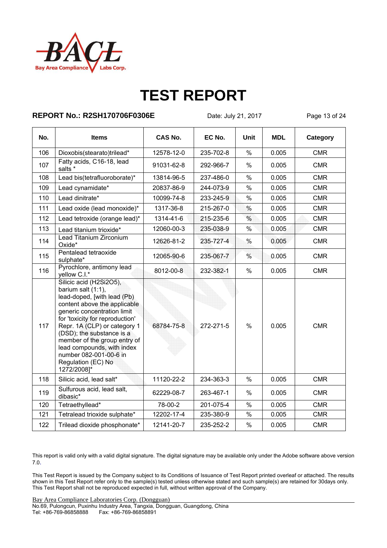

### **REPORT No.: R2SH170706F0306E** Date: July 21, 2017 Page 13 of 24

| No. | <b>Items</b>                                                                                                                                                                                                                                                                                                                                                                | <b>CAS No.</b> | EC No.    | Unit          | <b>MDL</b> | Category   |
|-----|-----------------------------------------------------------------------------------------------------------------------------------------------------------------------------------------------------------------------------------------------------------------------------------------------------------------------------------------------------------------------------|----------------|-----------|---------------|------------|------------|
| 106 | Dioxobis(stearato)trilead*                                                                                                                                                                                                                                                                                                                                                  | 12578-12-0     | 235-702-8 | $\%$          | 0.005      | <b>CMR</b> |
| 107 | Fatty acids, C16-18, lead<br>salts *                                                                                                                                                                                                                                                                                                                                        | 91031-62-8     | 292-966-7 | $\%$          | 0.005      | <b>CMR</b> |
| 108 | Lead bis(tetrafluoroborate)*                                                                                                                                                                                                                                                                                                                                                | 13814-96-5     | 237-486-0 | $\frac{0}{0}$ | 0.005      | <b>CMR</b> |
| 109 | Lead cynamidate*                                                                                                                                                                                                                                                                                                                                                            | 20837-86-9     | 244-073-9 | $\%$          | 0.005      | <b>CMR</b> |
| 110 | Lead dinitrate*                                                                                                                                                                                                                                                                                                                                                             | 10099-74-8     | 233-245-9 | $\%$          | 0.005      | <b>CMR</b> |
| 111 | Lead oxide (lead monoxide)*                                                                                                                                                                                                                                                                                                                                                 | 1317-36-8      | 215-267-0 | $\%$          | 0.005      | <b>CMR</b> |
| 112 | Lead tetroxide (orange lead)*                                                                                                                                                                                                                                                                                                                                               | 1314-41-6      | 215-235-6 | $\frac{0}{0}$ | 0.005      | <b>CMR</b> |
| 113 | Lead titanium trioxide*                                                                                                                                                                                                                                                                                                                                                     | 12060-00-3     | 235-038-9 | $\%$          | 0.005      | <b>CMR</b> |
| 114 | Lead Titanium Zirconium<br>Oxide*                                                                                                                                                                                                                                                                                                                                           | 12626-81-2     | 235-727-4 | %             | 0.005      | <b>CMR</b> |
| 115 | Pentalead tetraoxide<br>sulphate*                                                                                                                                                                                                                                                                                                                                           | 12065-90-6     | 235-067-7 | $\%$          | 0.005      | <b>CMR</b> |
| 116 | Pyrochlore, antimony lead<br>yellow C.I.*                                                                                                                                                                                                                                                                                                                                   | 8012-00-8      | 232-382-1 | $\%$          | 0.005      | <b>CMR</b> |
| 117 | Silicic acid (H2Si2O5),<br>barium salt $(1:1)$ ,<br>lead-doped, [with lead (Pb)<br>content above the applicable<br>generic concentration limit<br>for 'toxicity for reproduction'<br>Repr. 1A (CLP) or category 1<br>(DSD); the substance is a<br>member of the group entry of<br>lead compounds, with index<br>number 082-001-00-6 in<br>Regulation (EC) No<br>1272/2008]* | 68784-75-8     | 272-271-5 | $\%$          | 0.005      | <b>CMR</b> |
| 118 | Silicic acid, lead salt*                                                                                                                                                                                                                                                                                                                                                    | 11120-22-2     | 234-363-3 | $\frac{0}{0}$ | 0.005      | <b>CMR</b> |
| 119 | Sulfurous acid, lead salt,<br>dibasic*                                                                                                                                                                                                                                                                                                                                      | 62229-08-7     | 263-467-1 | $\%$          | 0.005      | <b>CMR</b> |
| 120 | Tetraethyllead*                                                                                                                                                                                                                                                                                                                                                             | 78-00-2        | 201-075-4 | $\%$          | 0.005      | <b>CMR</b> |
| 121 | Tetralead trioxide sulphate*                                                                                                                                                                                                                                                                                                                                                | 12202-17-4     | 235-380-9 | $\%$          | 0.005      | <b>CMR</b> |
| 122 | Trilead dioxide phosphonate*                                                                                                                                                                                                                                                                                                                                                | 12141-20-7     | 235-252-2 | $\%$          | 0.005      | <b>CMR</b> |

This report is valid only with a valid digital signature. The digital signature may be available only under the Adobe software above version 7.0.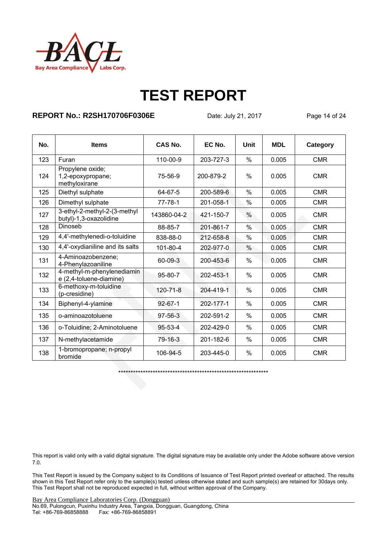

### **REPORT No.: R2SH170706F0306E** Date: July 21, 2017 Page 14 of 24

| No. | <b>Items</b>                                           | <b>CAS No.</b> | EC No.    | Unit          | <b>MDL</b> | Category   |
|-----|--------------------------------------------------------|----------------|-----------|---------------|------------|------------|
| 123 | Furan                                                  | 110-00-9       | 203-727-3 | $\%$          | 0.005      | <b>CMR</b> |
| 124 | Propylene oxide;<br>1,2-epoxypropane;<br>methyloxirane | 75-56-9        | 200-879-2 | $\%$          | 0.005      | <b>CMR</b> |
| 125 | Diethyl sulphate                                       | 64-67-5        | 200-589-6 | $\%$          | 0.005      | <b>CMR</b> |
| 126 | Dimethyl sulphate                                      | $77 - 78 - 1$  | 201-058-1 | $\%$          | 0.005      | <b>CMR</b> |
| 127 | 3-ethyl-2-methyl-2-(3-methyl<br>butyl)-1,3-oxazolidine | 143860-04-2    | 421-150-7 | $\frac{0}{0}$ | 0.005      | <b>CMR</b> |
| 128 | Dinoseb                                                | 88-85-7        | 201-861-7 | $\frac{0}{0}$ | 0.005      | <b>CMR</b> |
| 129 | 4,4'-methylenedi-o-toluidine                           | 838-88-0       | 212-658-8 | $\%$          | 0.005      | <b>CMR</b> |
| 130 | 4,4'-oxydianiline and its salts                        | 101-80-4       | 202-977-0 | %             | 0.005      | <b>CMR</b> |
| 131 | 4-Aminoazobenzene;<br>4-Phenylazoaniline               | 60-09-3        | 200-453-6 | $\%$          | 0.005      | <b>CMR</b> |
| 132 | 4-methyl-m-phenylenediamin<br>e (2,4-toluene-diamine)  | 95-80-7        | 202-453-1 | $\%$          | 0.005      | <b>CMR</b> |
| 133 | 6-methoxy-m-toluidine<br>(p-cresidine)                 | $120 - 71 - 8$ | 204-419-1 | $\%$          | 0.005      | <b>CMR</b> |
| 134 | Biphenyl-4-ylamine                                     | $92 - 67 - 1$  | 202-177-1 | %             | 0.005      | <b>CMR</b> |
| 135 | o-aminoazotoluene                                      | $97 - 56 - 3$  | 202-591-2 | %             | 0.005      | <b>CMR</b> |
| 136 | o-Toluidine; 2-Aminotoluene                            | 95-53-4        | 202-429-0 | $\%$          | 0.005      | <b>CMR</b> |
| 137 | N-methylacetamide                                      | 79-16-3        | 201-182-6 | $\%$          | 0.005      | <b>CMR</b> |
| 138 | 1-bromopropane; n-propyl<br>bromide                    | 106-94-5       | 203-445-0 | $\%$          | 0.005      | <b>CMR</b> |

\*\*\*\*\*\*\*\*\*\*\*\*\*\*\*\*\*\*\*\*\*\*\*\*\*\*\*\*\*\*\*\*\*\*\*\*\*\*\*\*\*\*\*\*\*\*\*\*\*\*\*\*\*\*\*\*\*\*\*\*\*

This report is valid only with a valid digital signature. The digital signature may be available only under the Adobe software above version 7.0.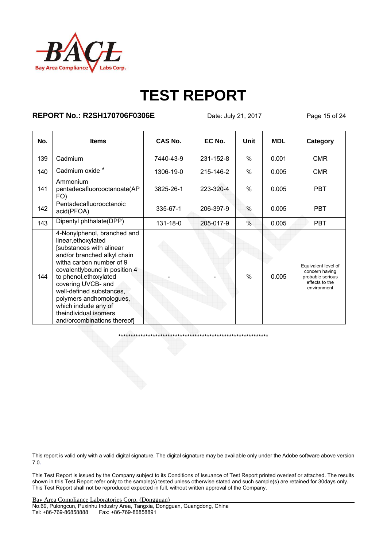

### **REPORT No.: R2SH170706F0306E** Date: July 21, 2017 Page 15 of 24

| No. | <b>Items</b>                                                                                                                                                                                                                                                                                                                                                      | CAS No.   | EC No.    | Unit          | <b>MDL</b> | Category                                                                                   |
|-----|-------------------------------------------------------------------------------------------------------------------------------------------------------------------------------------------------------------------------------------------------------------------------------------------------------------------------------------------------------------------|-----------|-----------|---------------|------------|--------------------------------------------------------------------------------------------|
| 139 | Cadmium                                                                                                                                                                                                                                                                                                                                                           | 7440-43-9 | 231-152-8 | $\frac{0}{0}$ | 0.001      | <b>CMR</b>                                                                                 |
| 140 | Cadmium oxide *                                                                                                                                                                                                                                                                                                                                                   | 1306-19-0 | 215-146-2 | $\frac{0}{0}$ | 0.005      | <b>CMR</b>                                                                                 |
| 141 | Ammonium<br>pentadecafluorooctanoate(AP<br>FO)                                                                                                                                                                                                                                                                                                                    | 3825-26-1 | 223-320-4 | $\frac{0}{0}$ | 0.005      | <b>PBT</b>                                                                                 |
| 142 | Pentadecafluorooctanoic<br>acid(PFOA)                                                                                                                                                                                                                                                                                                                             | 335-67-1  | 206-397-9 | $\frac{0}{0}$ | 0.005      | <b>PBT</b>                                                                                 |
| 143 | Dipentyl phthalate(DPP)                                                                                                                                                                                                                                                                                                                                           | 131-18-0  | 205-017-9 | $\%$          | 0.005      | <b>PBT</b>                                                                                 |
| 144 | 4-Nonylphenol, branched and<br>linear, ethoxylated<br>[substances with alinear<br>and/or branched alkyl chain<br>witha carbon number of 9<br>covalentlybound in position 4<br>to phenol, ethoxylated<br>covering UVCB- and<br>well-defined substances,<br>polymers andhomologues,<br>which include any of<br>theindividual isomers<br>and/orcombinations thereof] |           |           | $\frac{0}{0}$ | 0.005      | Equivalent level of<br>concern having<br>probable serious<br>effects to the<br>environment |

\*\*\*\*\*\*\*\*\*\*\*\*\*\*\*\*\*\*\*\*\*\*\*\*\*\*\*\*\*\*\*\*\*\*\*\*\*\*\*\*\*\*\*\*\*\*\*\*\*\*\*\*\*\*\*\*\*\*\*\*\*

This report is valid only with a valid digital signature. The digital signature may be available only under the Adobe software above version 7.0.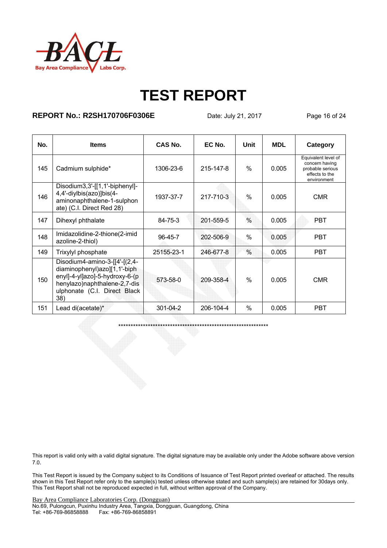

### **REPORT No.: R2SH170706F0306E** Date: July 21, 2017 Page 16 of 24

| No. | <b>Items</b>                                                                                                                                                           | CAS No.    | EC No.    | Unit          | <b>MDL</b> | Category                                                                                   |
|-----|------------------------------------------------------------------------------------------------------------------------------------------------------------------------|------------|-----------|---------------|------------|--------------------------------------------------------------------------------------------|
| 145 | Cadmium sulphide*                                                                                                                                                      | 1306-23-6  | 215-147-8 | $\frac{0}{0}$ | 0.005      | Equivalent level of<br>concern having<br>probable serious<br>effects to the<br>environment |
| 146 | Disodium3,3'-[[1,1'-biphenyl]-<br>4,4'-diylbis(azo)]bis(4-<br>aminonaphthalene-1-sulphon<br>ate) (C.I. Direct Red 28)                                                  | 1937-37-7  | 217-710-3 | $\frac{0}{0}$ | 0.005      | <b>CMR</b>                                                                                 |
| 147 | Dihexyl phthalate                                                                                                                                                      | 84-75-3    | 201-559-5 | $\frac{0}{0}$ | 0.005      | <b>PBT</b>                                                                                 |
| 148 | Imidazolidine-2-thione(2-imid<br>azoline-2-thiol)                                                                                                                      | 96-45-7    | 202-506-9 | $\frac{0}{0}$ | 0.005      | <b>PBT</b>                                                                                 |
| 149 | Trixylyl phosphate                                                                                                                                                     | 25155-23-1 | 246-677-8 | $\frac{0}{0}$ | 0.005      | <b>PBT</b>                                                                                 |
| 150 | Disodium4-amino-3-[[4'-[(2,4-<br>diaminophenyl)azo][1,1'-biph<br>enyl]-4-yl]azo]-5-hydroxy-6-(p<br>henylazo)naphthalene-2,7-dis<br>ulphonate (C.I. Direct Black<br>38) | 573-58-0   | 209-358-4 | $\%$          | 0.005      | <b>CMR</b>                                                                                 |
| 151 | Lead di(acetate)*                                                                                                                                                      | 301-04-2   | 206-104-4 | $\frac{0}{0}$ | 0.005      | <b>PBT</b>                                                                                 |

\*\*\*\*\*\*\*\*\*\*\*\*\*\*\*\*\*\*\*\*\*\*\*\*\*\*\*\*\*\*\*\*\*\*\*\*\*\*\*\*\*\*\*\*\*\*\*\*\*\*\*\*\*\*\*\*\*\*\*\*\*

This report is valid only with a valid digital signature. The digital signature may be available only under the Adobe software above version 7.0.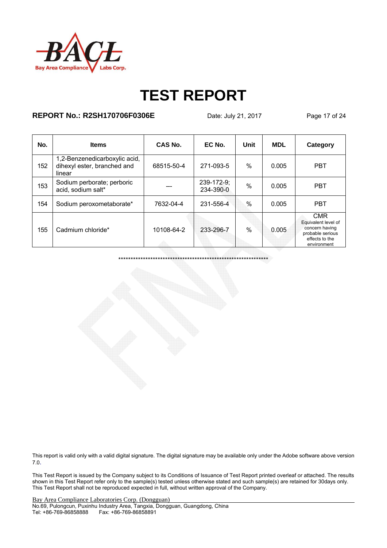

### **REPORT No.: R2SH170706F0306E** Date: July 21, 2017 Page 17 of 24

| No. | <b>Items</b>                                                           | CAS No.    | EC No.                  | Unit | <b>MDL</b> | Category                                                                                                 |
|-----|------------------------------------------------------------------------|------------|-------------------------|------|------------|----------------------------------------------------------------------------------------------------------|
| 152 | 1,2-Benzenedicarboxylic acid,<br>dihexyl ester, branched and<br>linear | 68515-50-4 | 271-093-5               | $\%$ | 0.005      | <b>PBT</b>                                                                                               |
| 153 | Sodium perborate; perboric<br>acid, sodium salt*                       |            | 239-172-9;<br>234-390-0 | %    | 0.005      | <b>PBT</b>                                                                                               |
| 154 | Sodium peroxometaborate*                                               | 7632-04-4  | 231-556-4               | $\%$ | 0.005      | <b>PBT</b>                                                                                               |
| 155 | Cadmium chloride*                                                      | 10108-64-2 | 233-296-7               | $\%$ | 0.005      | <b>CMR</b><br>Equivalent level of<br>concern having<br>probable serious<br>effects to the<br>environment |

\*\*\*\*\*\*\*\*\*\*\*\*\*\*\*\*\*\*\*\*\*\*\*\*\*\*\*\*\*\*\*\*\*\*\*\*\*\*\*\*\*\*\*\*\*\*\*\*\*\*\*\*\*\*\*\*\*\*\*\*\*

This report is valid only with a valid digital signature. The digital signature may be available only under the Adobe software above version 7.0.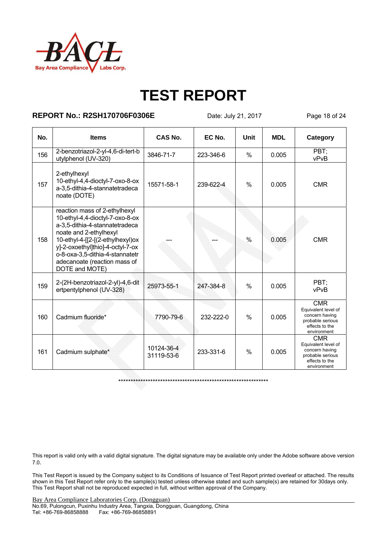

### **REPORT No.: R2SH170706F0306E** Date: July 21, 2017 Page 18 of 24

| No. | <b>Items</b>                                                                                                                                                                                                                                                                              | CAS No.                  | EC No.    | Unit          | <b>MDL</b> | Category                                                                                                 |
|-----|-------------------------------------------------------------------------------------------------------------------------------------------------------------------------------------------------------------------------------------------------------------------------------------------|--------------------------|-----------|---------------|------------|----------------------------------------------------------------------------------------------------------|
| 156 | 2-benzotriazol-2-yl-4,6-di-tert-b<br>utylphenol (UV-320)                                                                                                                                                                                                                                  | 3846-71-7                | 223-346-6 | $\%$          | 0.005      | PBT:<br>vPvB                                                                                             |
| 157 | 2-ethylhexyl<br>10-ethyl-4,4-dioctyl-7-oxo-8-ox<br>a-3,5-dithia-4-stannatetradeca<br>noate (DOTE)                                                                                                                                                                                         | 15571-58-1               | 239-622-4 | $\%$          | 0.005      | <b>CMR</b>                                                                                               |
| 158 | reaction mass of 2-ethylhexyl<br>10-ethyl-4,4-dioctyl-7-oxo-8-ox<br>a-3,5-dithia-4-stannatetradeca<br>noate and 2-ethylhexyl<br>10-ethyl-4-[[2-[(2-ethylhexyl)ox<br>y]-2-oxoethyl]thio]-4-octyl-7-ox<br>o-8-oxa-3,5-dithia-4-stannatetr<br>adecanoate (reaction mass of<br>DOTE and MOTE) |                          |           | $\%$          | 0.005      | <b>CMR</b>                                                                                               |
| 159 | 2-(2H-benzotriazol-2-yl)-4,6-dit<br>ertpentylphenol (UV-328)                                                                                                                                                                                                                              | 25973-55-1               | 247-384-8 | $\%$          | 0.005      | PBT:<br>vPvB                                                                                             |
| 160 | Cadmium fluoride*                                                                                                                                                                                                                                                                         | 7790-79-6                | 232-222-0 | $\frac{0}{0}$ | 0.005      | <b>CMR</b><br>Equivalent level of<br>concern having<br>probable serious<br>effects to the<br>environment |
| 161 | Cadmium sulphate*                                                                                                                                                                                                                                                                         | 10124-36-4<br>31119-53-6 | 233-331-6 | $\%$          | 0.005      | <b>CMR</b><br>Equivalent level of<br>concern having<br>probable serious<br>effects to the<br>environment |

\*\*\*\*\*\*\*\*\*\*\*\*\*\*\*\*\*\*\*\*\*\*\*\*\*\*\*\*\*\*\*\*\*\*\*\*\*\*\*\*\*\*\*\*\*\*\*\*\*\*\*\*\*\*\*\*\*\*\*\*\*

This report is valid only with a valid digital signature. The digital signature may be available only under the Adobe software above version 7.0.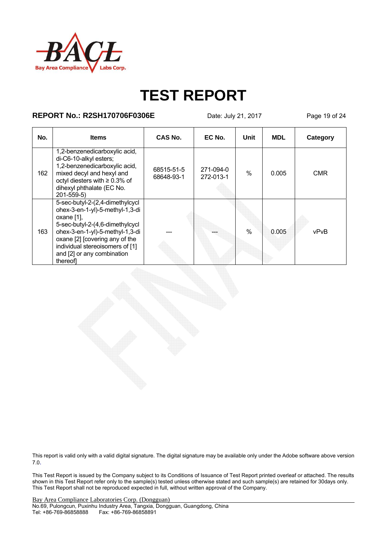

### **REPORT No.: R2SH170706F0306E** Date: July 21, 2017 Page 19 of 24

| No. | <b>Items</b>                                                                                                                                                                                                                                                            | CAS No.                  | EC No.                 | Unit | <b>MDL</b> | Category   |
|-----|-------------------------------------------------------------------------------------------------------------------------------------------------------------------------------------------------------------------------------------------------------------------------|--------------------------|------------------------|------|------------|------------|
| 162 | 1,2-benzenedicarboxylic acid,<br>di-C6-10-alkyl esters;<br>1,2-benzenedicarboxylic acid,<br>mixed decyl and hexyl and<br>octyl diesters with $\geq 0.3\%$ of<br>dihexyl phthalate (EC No.<br>$201 - 559 - 5$                                                            | 68515-51-5<br>68648-93-1 | 271-094-0<br>272-013-1 | $\%$ | 0.005      | <b>CMR</b> |
| 163 | 5-sec-butyl-2-(2,4-dimethylcycl<br>ohex-3-en-1-yl)-5-methyl-1,3-di<br>oxane $[1]$ ,<br>5-sec-butyl-2-(4,6-dimethylcycl<br>ohex-3-en-1-yl)-5-methyl-1,3-di<br>oxane [2] [covering any of the<br>individual stereoisomers of [1]<br>and [2] or any combination<br>thereof |                          |                        | $\%$ | 0.005      | vPvB       |

This report is valid only with a valid digital signature. The digital signature may be available only under the Adobe software above version 7.0.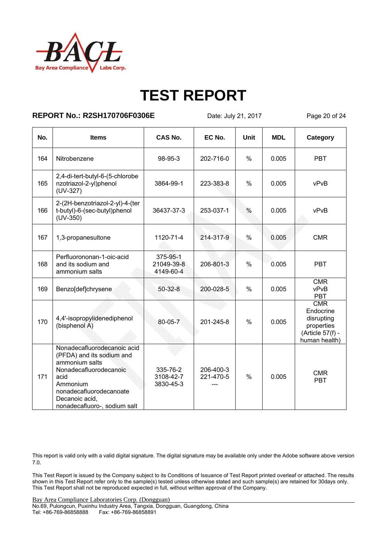

### **REPORT No.: R2SH170706F0306E** Date: July 21, 2017 Page 20 of 24

| No. | <b>Items</b>                                                                                                                                                                                          | <b>CAS No.</b>                      | EC No.                 | Unit          | <b>MDL</b> | Category                                                                          |
|-----|-------------------------------------------------------------------------------------------------------------------------------------------------------------------------------------------------------|-------------------------------------|------------------------|---------------|------------|-----------------------------------------------------------------------------------|
| 164 | Nitrobenzene                                                                                                                                                                                          | 98-95-3                             | 202-716-0              | $\frac{0}{0}$ | 0.005      | <b>PBT</b>                                                                        |
| 165 | 2,4-di-tert-butyl-6-(5-chlorobe<br>nzotriazol-2-yl)phenol<br>$(UV-327)$                                                                                                                               | 3864-99-1                           | 223-383-8              | $\frac{0}{0}$ | 0.005      | vPvB                                                                              |
| 166 | 2-(2H-benzotriazol-2-yl)-4-(ter<br>t-butyl)-6-(sec-butyl)phenol<br>$(UV-350)$                                                                                                                         | 36437-37-3                          | 253-037-1              | $\frac{0}{0}$ | 0.005      | vPvB                                                                              |
| 167 | 1,3-propanesultone                                                                                                                                                                                    | 1120-71-4                           | 214-317-9              | $\frac{0}{0}$ | 0.005      | <b>CMR</b>                                                                        |
| 168 | Perfluorononan-1-oic-acid<br>and its sodium and<br>ammonium salts                                                                                                                                     | 375-95-1<br>21049-39-8<br>4149-60-4 | 206-801-3              | $\%$          | 0.005      | <b>PBT</b>                                                                        |
| 169 | Benzo[def]chrysene                                                                                                                                                                                    | $50-32-8$                           | 200-028-5              | $\%$          | 0.005      | <b>CMR</b><br>vPvB<br><b>PBT</b>                                                  |
| 170 | 4,4'-isopropylidenediphenol<br>(bisphenol A)                                                                                                                                                          | 80-05-7                             | 201-245-8              | $\frac{0}{0}$ | 0.005      | CMR<br>Endocrine<br>disrupting<br>properties<br>(Article 57(f) -<br>human health) |
| 171 | Nonadecafluorodecanoic acid<br>(PFDA) and its sodium and<br>ammonium salts<br>Nonadecafluorodecanoic<br>acid<br>Ammonium<br>nonadecafluorodecanoate<br>Decanoic acid.<br>nonadecafluoro-, sodium salt | 335-76-2<br>3108-42-7<br>3830-45-3  | 206-400-3<br>221-470-5 | $\frac{0}{0}$ | 0.005      | <b>CMR</b><br><b>PBT</b>                                                          |

This report is valid only with a valid digital signature. The digital signature may be available only under the Adobe software above version 7.0.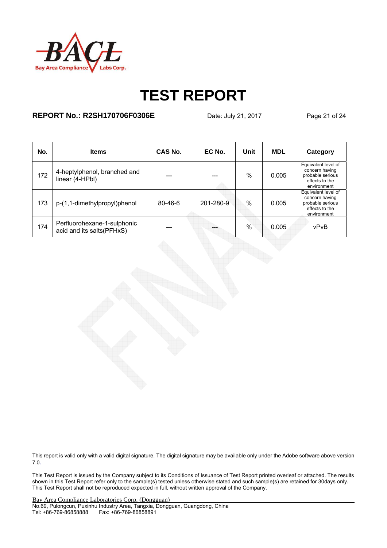

### **REPORT No.: R2SH170706F0306E** Date: July 21, 2017 Page 21 of 24

| No. | <b>Items</b>                                             | CAS No.       | EC No.    | Unit          | <b>MDL</b> | Category                                                                                   |
|-----|----------------------------------------------------------|---------------|-----------|---------------|------------|--------------------------------------------------------------------------------------------|
| 172 | 4-heptylphenol, branched and<br>linear (4-HPbl)          | ---           |           | $\%$          | 0.005      | Equivalent level of<br>concern having<br>probable serious<br>effects to the<br>environment |
| 173 | p-(1,1-dimethylpropyl)phenol                             | $80 - 46 - 6$ | 201-280-9 | $\frac{0}{0}$ | 0.005      | Equivalent level of<br>concern having<br>probable serious<br>effects to the<br>environment |
| 174 | Perfluorohexane-1-sulphonic<br>acid and its salts(PFHxS) | ---           |           | $\frac{0}{0}$ | 0.005      | vPvB                                                                                       |

This report is valid only with a valid digital signature. The digital signature may be available only under the Adobe software above version 7.0.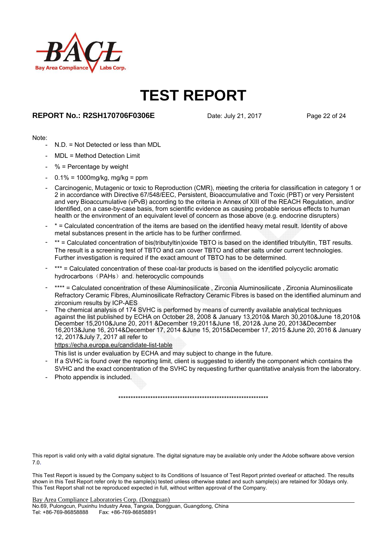

#### **REPORT No.: R2SH170706F0306E** Date: July 21, 2017 Page 22 of 24

#### Note:

- N.D. = Not Detected or less than MDL
- MDL = Method Detection Limit
- $%$  = Percentage by weight
- $0.1\% = 1000$ mg/kg, mg/kg = ppm
- Carcinogenic, Mutagenic or toxic to Reproduction (CMR), meeting the criteria for classification in category 1 or 2 in accordance with Directive 67/548/EEC, Persistent, Bioaccumulative and Toxic (PBT) or very Persistent and very Bioaccumulative (vPvB) according to the criteria in Annex of XIII of the REACH Regulation, and/or Identified, on a case-by-case basis, from scientific evidence as causing probable serious effects to human health or the environment of an equivalent level of concern as those above (e.g. endocrine disrupters)
- \* = Calculated concentration of the items are based on the identified heavy metal result. Identity of above metal substances present in the article has to be further confirmed.
- \*\* = Calculated concentration of bis(tributyltin)oxide TBTO is based on the identified tributyltin, TBT results. The result is a screening test of TBTO and can cover TBTO and other salts under current technologies. Further investigation is required if the exact amount of TBTO has to be determined.
- \*\*\* = Calculated concentration of these coal-tar products is based on the identified polycyclic aromatic hydrocarbons (PAHs) and. heterocyclic compounds
- \*\*\*\* = Calculated concentration of these Aluminosilicate, Zirconia Aluminosilicate , Zirconia Aluminosilicate Refractory Ceramic Fibres, Aluminosilicate Refractory Ceramic Fibres is based on the identified aluminum and zirconium results by ICP-AES
- The chemical analysis of 174 SVHC is performed by means of currently available analytical techniques against the list published by ECHA on October 28, 2008 & January 13,2010& March 30,2010&June 18,2010& December 15,2010&June 20, 2011 &December 19,2011&June 18, 2012& June 20, 2013&December 16,2013&June 16, 2014&December 17, 2014 &June 15, 2015&December 17, 2015 &June 20, 2016 & January 12, 2017&July 7, 2017 all refer to

https://echa.europa.eu/candidate-list-table

- This list is under evaluation by ECHA and may subject to change in the future.
- If a SVHC is found over the reporting limit, client is suggested to identify the component which contains the SVHC and the exact concentration of the SVHC by requesting further quantitative analysis from the laboratory.
- Photo appendix is included.

\*\*\*\*\*\*\*\*\*\*\*\*\*\*\*\*\*\*\*\*\*\*\*\*\*\*\*\*\*\*\*\*\*\*\*\*\*\*\*\*\*\*\*\*\*\*\*\*\*\*\*\*\*\*\*\*\*\*\*\*\*

This report is valid only with a valid digital signature. The digital signature may be available only under the Adobe software above version 7.0.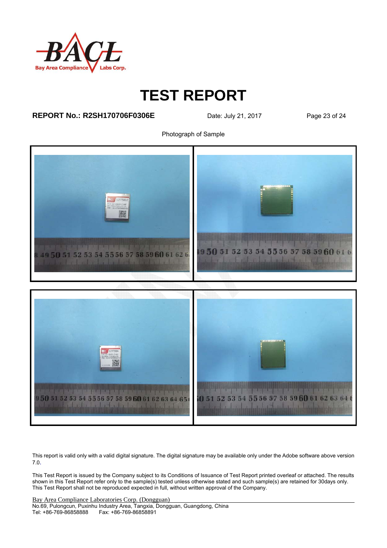

### **REPORT No.: R2SH170706F0306E** Date: July 21, 2017 Page 23 of 24

Photograph of Sample



This report is valid only with a valid digital signature. The digital signature may be available only under the Adobe software above version 7.0.